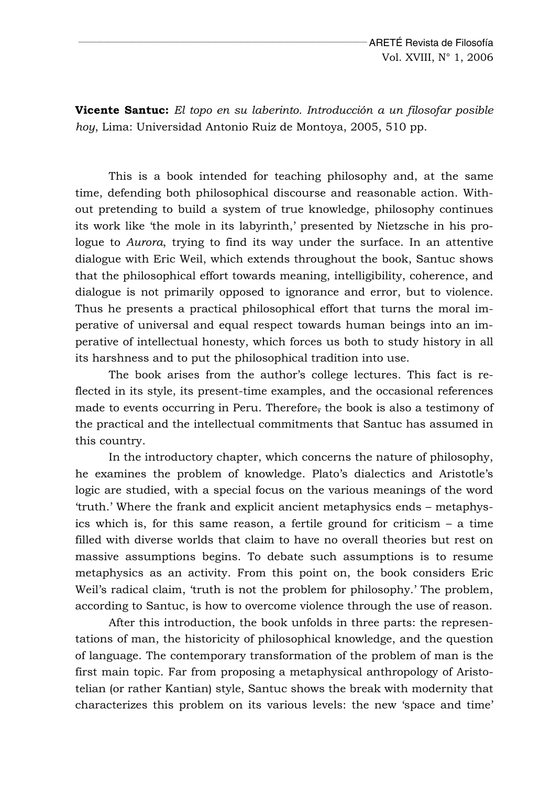**Vicente Santuc:** *El topo en su laberinto. Introducción a un filosofar posible hoy*, Lima: Universidad Antonio Ruiz de Montoya, 2005, 510 pp.

This is a book intended for teaching philosophy and, at the same time, defending both philosophical discourse and reasonable action. Without pretending to build a system of true knowledge, philosophy continues its work like 'the mole in its labyrinth,' presented by Nietzsche in his prologue to *Aurora*, trying to find its way under the surface. In an attentive dialogue with Eric Weil, which extends throughout the book, Santuc shows that the philosophical effort towards meaning, intelligibility, coherence, and dialogue is not primarily opposed to ignorance and error, but to violence. Thus he presents a practical philosophical effort that turns the moral imperative of universal and equal respect towards human beings into an imperative of intellectual honesty, which forces us both to study history in all its harshness and to put the philosophical tradition into use.

The book arises from the author's college lectures. This fact is reflected in its style, its present-time examples, and the occasional references made to events occurring in Peru. Therefore, the book is also a testimony of the practical and the intellectual commitments that Santuc has assumed in this country.

In the introductory chapter, which concerns the nature of philosophy, he examines the problem of knowledge. Plato's dialectics and Aristotle's logic are studied, with a special focus on the various meanings of the word 'truth.' Where the frank and explicit ancient metaphysics ends – metaphysics which is, for this same reason, a fertile ground for criticism – a time filled with diverse worlds that claim to have no overall theories but rest on massive assumptions begins. To debate such assumptions is to resume metaphysics as an activity. From this point on, the book considers Eric Weil's radical claim, 'truth is not the problem for philosophy.' The problem, according to Santuc, is how to overcome violence through the use of reason.

After this introduction, the book unfolds in three parts: the representations of man, the historicity of philosophical knowledge, and the question of language. The contemporary transformation of the problem of man is the first main topic. Far from proposing a metaphysical anthropology of Aristotelian (or rather Kantian) style, Santuc shows the break with modernity that characterizes this problem on its various levels: the new 'space and time'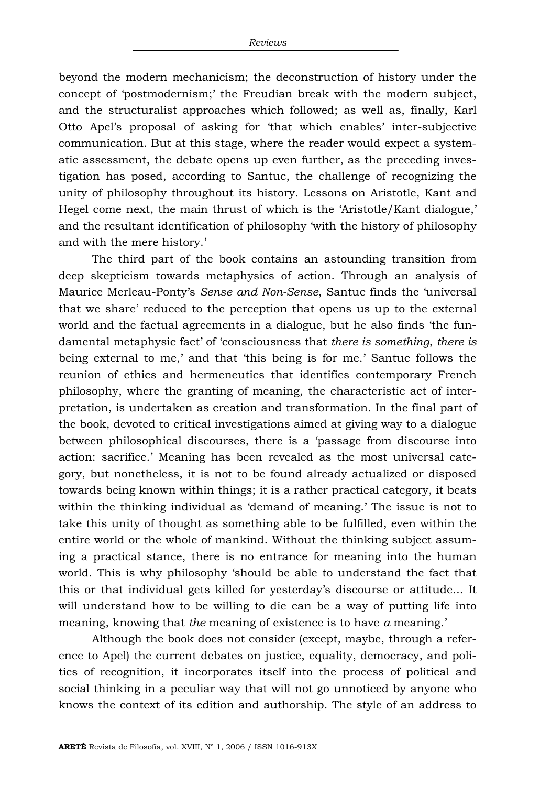beyond the modern mechanicism; the deconstruction of history under the concept of 'postmodernism;' the Freudian break with the modern subject, and the structuralist approaches which followed; as well as, finally, Karl Otto Apel's proposal of asking for 'that which enables' inter-subjective communication. But at this stage, where the reader would expect a systematic assessment, the debate opens up even further, as the preceding investigation has posed, according to Santuc, the challenge of recognizing the unity of philosophy throughout its history. Lessons on Aristotle, Kant and Hegel come next, the main thrust of which is the 'Aristotle/Kant dialogue,' and the resultant identification of philosophy 'with the history of philosophy and with the mere history.'

The third part of the book contains an astounding transition from deep skepticism towards metaphysics of action. Through an analysis of Maurice Merleau-Ponty's *Sense and Non-Sense*, Santuc finds the 'universal that we share' reduced to the perception that opens us up to the external world and the factual agreements in a dialogue, but he also finds 'the fundamental metaphysic fact' of 'consciousness that *there is something*, *there is* being external to me,' and that 'this being is for me.' Santuc follows the reunion of ethics and hermeneutics that identifies contemporary French philosophy, where the granting of meaning, the characteristic act of interpretation, is undertaken as creation and transformation. In the final part of the book, devoted to critical investigations aimed at giving way to a dialogue between philosophical discourses, there is a 'passage from discourse into action: sacrifice.' Meaning has been revealed as the most universal category, but nonetheless, it is not to be found already actualized or disposed towards being known within things; it is a rather practical category, it beats within the thinking individual as 'demand of meaning.' The issue is not to take this unity of thought as something able to be fulfilled, even within the entire world or the whole of mankind. Without the thinking subject assuming a practical stance, there is no entrance for meaning into the human world. This is why philosophy 'should be able to understand the fact that this or that individual gets killed for yesterday's discourse or attitude... It will understand how to be willing to die can be a way of putting life into meaning, knowing that *the* meaning of existence is to have *a* meaning.'

Although the book does not consider (except, maybe, through a reference to Apel) the current debates on justice, equality, democracy, and politics of recognition, it incorporates itself into the process of political and social thinking in a peculiar way that will not go unnoticed by anyone who knows the context of its edition and authorship. The style of an address to